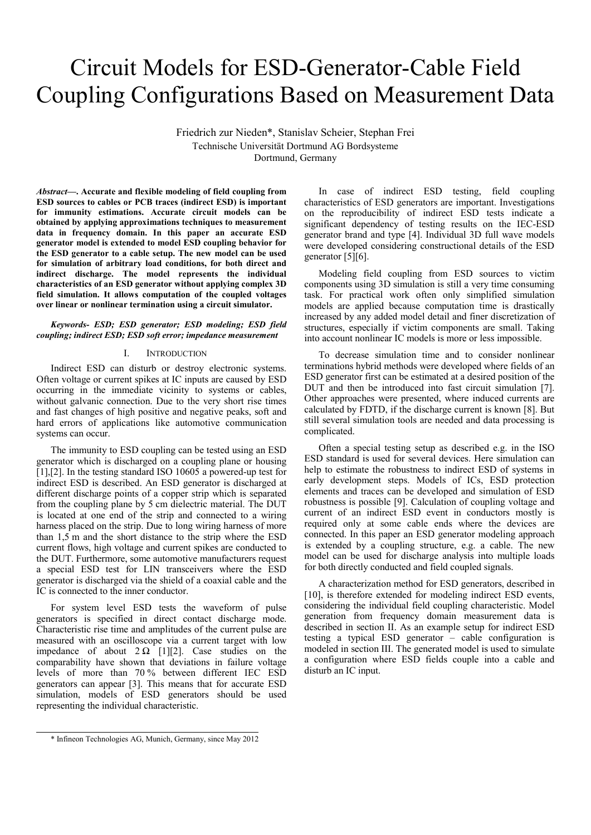# Circuit Models for ESD-Generator-Cable Field Coupling Configurations Based on Measurement Data

Friedrich zur Nieden\*, Stanislav Scheier, Stephan Frei Technische Universität Dortmund AG Bordsysteme Dortmund, Germany

*Abstract***—. Accurate and flexible modeling of field coupling from ESD sources to cables or PCB traces (indirect ESD) is important for immunity estimations. Accurate circuit models can be obtained by applying approximations techniques to measurement data in frequency domain. In this paper an accurate ESD generator model is extended to model ESD coupling behavior for the ESD generator to a cable setup. The new model can be used for simulation of arbitrary load conditions, for both direct and indirect discharge. The model represents the individual characteristics of an ESD generator without applying complex 3D field simulation. It allows computation of the coupled voltages over linear or nonlinear termination using a circuit simulator.** 

#### *Keywords- ESD; ESD generator; ESD modeling; ESD field coupling; indirect ESD; ESD soft error; impedance measurement*

#### I. INTRODUCTION

Indirect ESD can disturb or destroy electronic systems. Often voltage or current spikes at IC inputs are caused by ESD occurring in the immediate vicinity to systems or cables, without galvanic connection. Due to the very short rise times and fast changes of high positive and negative peaks, soft and hard errors of applications like automotive communication systems can occur.

The immunity to ESD coupling can be tested using an ESD generator which is discharged on a coupling plane or housing [1],[2]. In the testing standard ISO 10605 a powered-up test for indirect ESD is described. An ESD generator is discharged at different discharge points of a copper strip which is separated from the coupling plane by 5 cm dielectric material. The DUT is located at one end of the strip and connected to a wiring harness placed on the strip. Due to long wiring harness of more than 1,5 m and the short distance to the strip where the ESD current flows, high voltage and current spikes are conducted to the DUT. Furthermore, some automotive manufacturers request a special ESD test for LIN transceivers where the ESD generator is discharged via the shield of a coaxial cable and the IC is connected to the inner conductor.

For system level ESD tests the waveform of pulse generators is specified in direct contact discharge mode. Characteristic rise time and amplitudes of the current pulse are measured with an oscilloscope via a current target with low impedance of about  $2 \Omega$  [1][2]. Case studies on the comparability have shown that deviations in failure voltage levels of more than 70 % between different IEC ESD generators can appear [3]. This means that for accurate ESD simulation, models of ESD generators should be used representing the individual characteristic.

In case of indirect ESD testing, field coupling characteristics of ESD generators are important. Investigations on the reproducibility of indirect ESD tests indicate a significant dependency of testing results on the IEC-ESD generator brand and type [4]. Individual 3D full wave models were developed considering constructional details of the ESD generator  $\overline{5}$ [6].

Modeling field coupling from ESD sources to victim components using 3D simulation is still a very time consuming task. For practical work often only simplified simulation models are applied because computation time is drastically increased by any added model detail and finer discretization of structures, especially if victim components are small. Taking into account nonlinear IC models is more or less impossible.

To decrease simulation time and to consider nonlinear terminations hybrid methods were developed where fields of an ESD generator first can be estimated at a desired position of the DUT and then be introduced into fast circuit simulation [7]. Other approaches were presented, where induced currents are calculated by FDTD, if the discharge current is known [8]. But still several simulation tools are needed and data processing is complicated.

Often a special testing setup as described e.g. in the ISO ESD standard is used for several devices. Here simulation can help to estimate the robustness to indirect ESD of systems in early development steps. Models of ICs, ESD protection elements and traces can be developed and simulation of ESD robustness is possible [9]. Calculation of coupling voltage and current of an indirect ESD event in conductors mostly is required only at some cable ends where the devices are connected. In this paper an ESD generator modeling approach is extended by a coupling structure, e.g. a cable. The new model can be used for discharge analysis into multiple loads for both directly conducted and field coupled signals.

A characterization method for ESD generators, described in [10], is therefore extended for modeling indirect ESD events, considering the individual field coupling characteristic. Model generation from frequency domain measurement data is described in section II. As an example setup for indirect ESD testing a typical ESD generator – cable configuration is modeled in section III. The generated model is used to simulate a configuration where ESD fields couple into a cable and disturb an IC input.

<sup>\*</sup> Infineon Technologies AG, Munich, Germany, since May 2012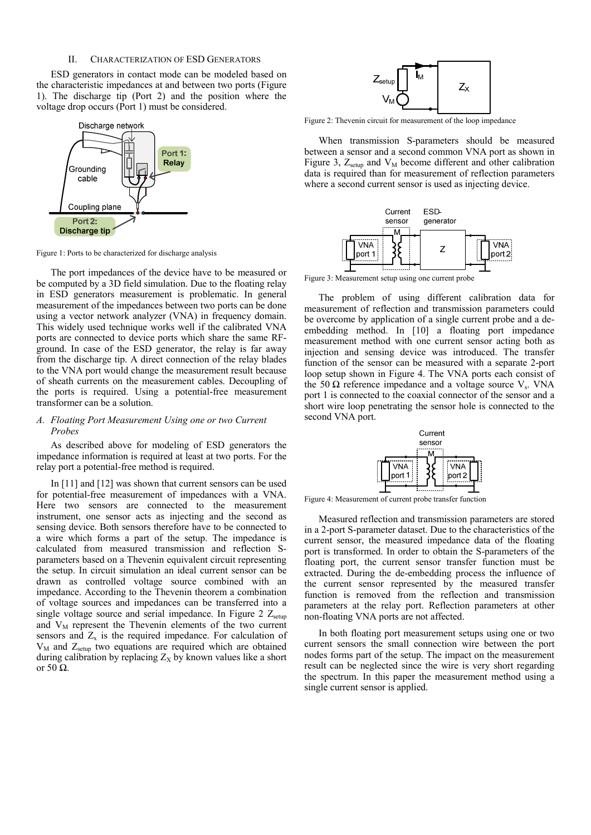# II. CHARACTERIZATION OF ESD GENERATORS

ESD generators in contact mode can be modeled based on the characteristic impedances at and between two ports (Figure 1). The discharge tip (Port 2) and the position where the voltage drop occurs (Port 1) must be considered.



Figure 1: Ports to be characterized for discharge analysis

The port impedances of the device have to be measured or be computed by a 3D field simulation. Due to the floating relay in ESD generators measurement is problematic. In general measurement of the impedances between two ports can be done using a vector network analyzer (VNA) in frequency domain. This widely used technique works well if the calibrated VNA ports are connected to device ports which share the same RFground. In case of the ESD generator, the relay is far away from the discharge tip. A direct connection of the relay blades to the VNA port would change the measurement result because of sheath currents on the measurement cables. Decoupling of the ports is required. Using a potential-free measurement transformer can be a solution.

### *A. Floating Port Measurement Using one or two Current Probes*

As described above for modeling of ESD generators the impedance information is required at least at two ports. For the relay port a potential-free method is required.

In [11] and [12] was shown that current sensors can be used for potential-free measurement of impedances with a VNA. Here two sensors are connected to the measurement instrument, one sensor acts as injecting and the second as sensing device. Both sensors therefore have to be connected to a wire which forms a part of the setup. The impedance is calculated from measured transmission and reflection Sparameters based on a Thevenin equivalent circuit representing the setup. In circuit simulation an ideal current sensor can be drawn as controlled voltage source combined with an impedance. According to the Thevenin theorem a combination of voltage sources and impedances can be transferred into a single voltage source and serial impedance. In Figure 2  $Z_{\text{setun}}$ and  $V_M$  represent the Thevenin elements of the two current sensors and  $Z_x$  is the required impedance. For calculation of  $V_M$  and  $Z_{\text{setup}}$  two equations are required which are obtained during calibration by replacing  $Z_X$  by known values like a short or  $50\Omega$ .



Figure 2: Thevenin circuit for measurement of the loop impedance

When transmission S-parameters should be measured between a sensor and a second common VNA port as shown in Figure 3,  $Z_{\text{setup}}$  and  $V_M$  become different and other calibration data is required than for measurement of reflection parameters where a second current sensor is used as injecting device.



Figure 3: Measurement setup using one current probe

The problem of using different calibration data for measurement of reflection and transmission parameters could be overcome by application of a single current probe and a deembedding method. In [10] a floating port impedance measurement method with one current sensor acting both as injection and sensing device was introduced. The transfer function of the sensor can be measured with a separate 2-port loop setup shown in Figure 4. The VNA ports each consist of the 50 Ω reference impedance and a voltage source  $V_s$ . VNA port 1 is connected to the coaxial connector of the sensor and a short wire loop penetrating the sensor hole is connected to the second VNA port.



Figure 4: Measurement of current probe transfer function

Measured reflection and transmission parameters are stored in a 2-port S-parameter dataset. Due to the characteristics of the current sensor, the measured impedance data of the floating port is transformed. In order to obtain the S-parameters of the floating port, the current sensor transfer function must be extracted. During the de-embedding process the influence of the current sensor represented by the measured transfer function is removed from the reflection and transmission parameters at the relay port. Reflection parameters at other non-floating VNA ports are not affected.

In both floating port measurement setups using one or two current sensors the small connection wire between the port nodes forms part of the setup. The impact on the measurement result can be neglected since the wire is very short regarding the spectrum. In this paper the measurement method using a single current sensor is applied.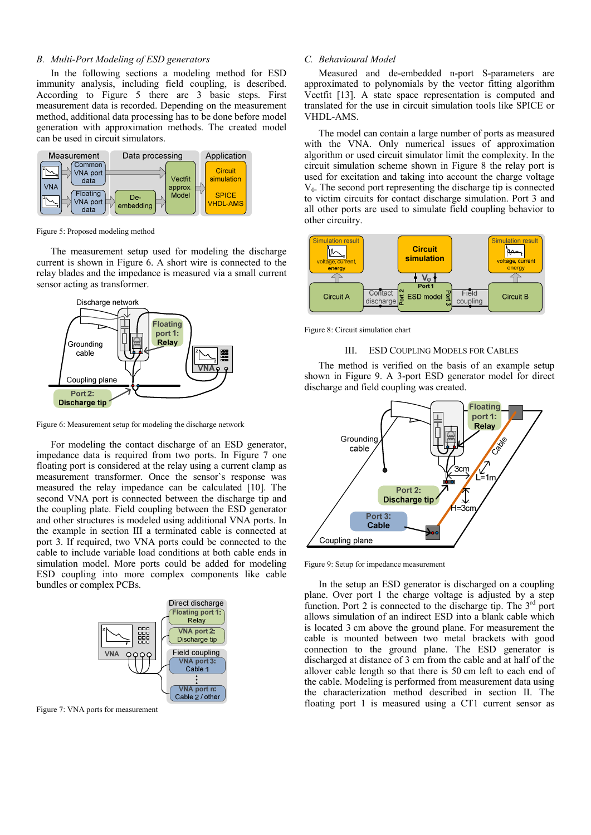# *B. Multi-Port Modeling of ESD generators*

In the following sections a modeling method for ESD immunity analysis, including field coupling, is described. According to Figure 5 there are 3 basic steps. First measurement data is recorded. Depending on the measurement method, additional data processing has to be done before model generation with approximation methods. The created model can be used in circuit simulators.



Figure 5: Proposed modeling method

The measurement setup used for modeling the discharge current is shown in Figure 6. A short wire is connected to the relay blades and the impedance is measured via a small current sensor acting as transformer.



Figure 6: Measurement setup for modeling the discharge network

For modeling the contact discharge of an ESD generator, impedance data is required from two ports. In Figure 7 one floating port is considered at the relay using a current clamp as measurement transformer. Once the sensor`s response was measured the relay impedance can be calculated [10]. The second VNA port is connected between the discharge tip and the coupling plate. Field coupling between the ESD generator and other structures is modeled using additional VNA ports. In the example in section III a terminated cable is connected at port 3. If required, two VNA ports could be connected to the cable to include variable load conditions at both cable ends in simulation model. More ports could be added for modeling ESD coupling into more complex components like cable bundles or complex PCBs.



Figure 7: VNA ports for measurement

# *C. Behavioural Model*

Measured and de-embedded n-port S-parameters are approximated to polynomials by the vector fitting algorithm Vectfit [13]. A state space representation is computed and translated for the use in circuit simulation tools like SPICE or VHDL-AMS.

The model can contain a large number of ports as measured with the VNA. Only numerical issues of approximation algorithm or used circuit simulator limit the complexity. In the circuit simulation scheme shown in Figure 8 the relay port is used for excitation and taking into account the charge voltage V0. The second port representing the discharge tip is connected to victim circuits for contact discharge simulation. Port 3 and all other ports are used to simulate field coupling behavior to other circuitry.



Figure 8: Circuit simulation chart



The method is verified on the basis of an example setup shown in Figure 9. A 3-port ESD generator model for direct discharge and field coupling was created.



Figure 9: Setup for impedance measurement

In the setup an ESD generator is discharged on a coupling plane. Over port 1 the charge voltage is adjusted by a step function. Port 2 is connected to the discharge tip. The 3<sup>rd</sup> port allows simulation of an indirect ESD into a blank cable which is located 3 cm above the ground plane. For measurement the cable is mounted between two metal brackets with good connection to the ground plane. The ESD generator is discharged at distance of 3 cm from the cable and at half of the allover cable length so that there is 50 cm left to each end of the cable. Modeling is performed from measurement data using the characterization method described in section II. The floating port 1 is measured using a CT1 current sensor as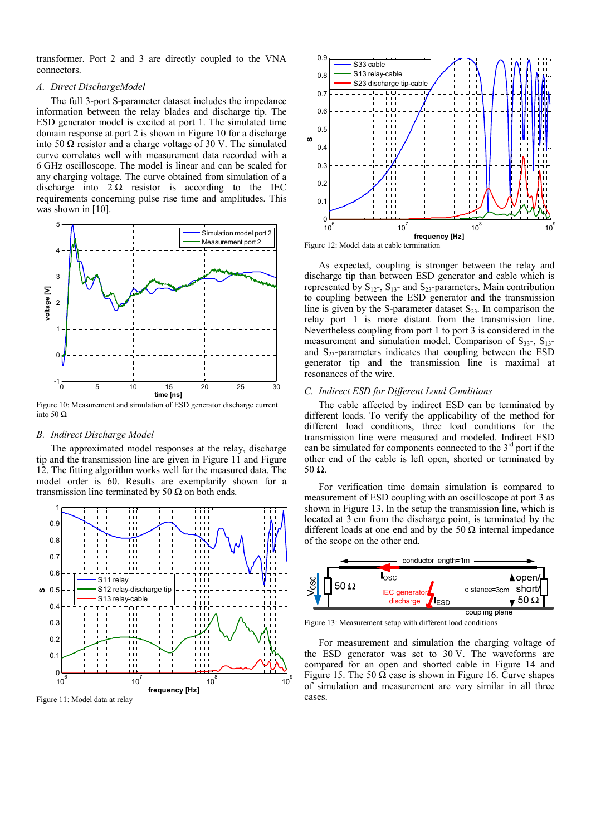transformer. Port 2 and 3 are directly coupled to the VNA connectors.

#### *A. Direct DischargeModel*

The full 3-port S-parameter dataset includes the impedance information between the relay blades and discharge tip. The ESD generator model is excited at port 1. The simulated time domain response at port 2 is shown in Figure 10 for a discharge into 50 Ω resistor and a charge voltage of 30 V. The simulated curve correlates well with measurement data recorded with a 6 GHz oscilloscope. The model is linear and can be scaled for any charging voltage. The curve obtained from simulation of a discharge into  $2 \Omega$  resistor is according to the IEC requirements concerning pulse rise time and amplitudes. This was shown in [10].



Figure 10: Measurement and simulation of ESD generator discharge current into 50 Ω

#### *B. Indirect Discharge Model*

The approximated model responses at the relay, discharge tip and the transmission line are given in Figure 11 and Figure 12. The fitting algorithm works well for the measured data. The model order is 60. Results are exemplarily shown for a transmission line terminated by 50  $\Omega$  on both ends.



Figure 11: Model data at relay



Figure 12: Model data at cable termination

As expected, coupling is stronger between the relay and discharge tip than between ESD generator and cable which is represented by  $S_{12}$ ,  $S_{13}$ - and  $S_{23}$ -parameters. Main contribution to coupling between the ESD generator and the transmission line is given by the S-parameter dataset  $S_{23}$ . In comparison the relay port 1 is more distant from the transmission line. Nevertheless coupling from port 1 to port 3 is considered in the measurement and simulation model. Comparison of  $S_{33}$ ,  $S_{13}$ and  $S_{23}$ -parameters indicates that coupling between the ESD generator tip and the transmission line is maximal at resonances of the wire.

#### *C. Indirect ESD for Different Load Conditions*

The cable affected by indirect ESD can be terminated by different loads. To verify the applicability of the method for different load conditions, three load conditions for the transmission line were measured and modeled. Indirect ESD can be simulated for components connected to the  $3<sup>rd</sup>$  port if the other end of the cable is left open, shorted or terminated by 50 Ω.

For verification time domain simulation is compared to measurement of ESD coupling with an oscilloscope at port 3 as shown in Figure 13. In the setup the transmission line, which is located at 3 cm from the discharge point, is terminated by the different loads at one end and by the 50  $\Omega$  internal impedance of the scope on the other end.



Figure 13: Measurement setup with different load conditions

For measurement and simulation the charging voltage of the ESD generator was set to 30 V. The waveforms are compared for an open and shorted cable in Figure 14 and Figure 15. The 50  $\Omega$  case is shown in Figure 16. Curve shapes of simulation and measurement are very similar in all three cases.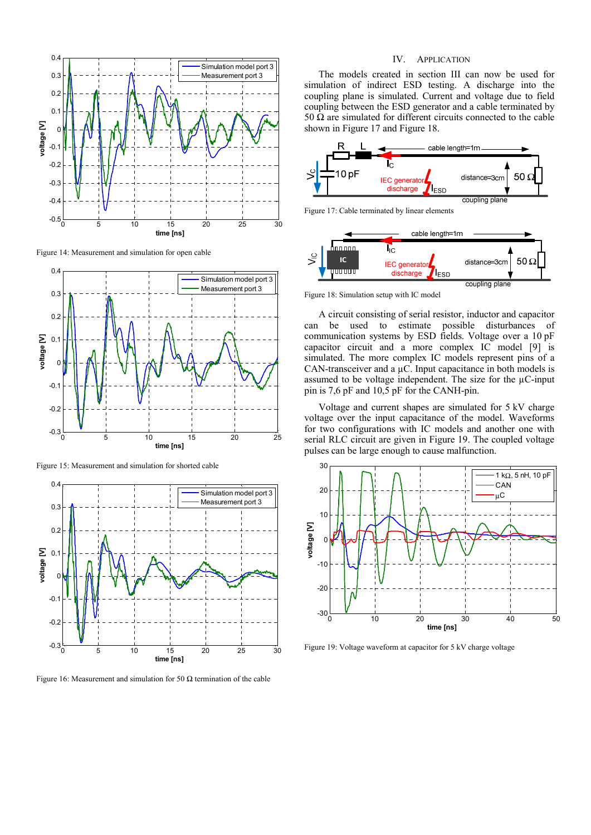

Figure 14: Measurement and simulation for open cable



Figure 15: Measurement and simulation for shorted cable



Figure 16: Measurement and simulation for 50  $\Omega$  termination of the cable

# IV. APPLICATION

The models created in section III can now be used for simulation of indirect ESD testing. A discharge into the coupling plane is simulated. Current and voltage due to field coupling between the ESD generator and a cable terminated by 50  $\Omega$  are simulated for different circuits connected to the cable shown in Figure 17 and Figure 18.



Figure 17: Cable terminated by linear elements



Figure 18: Simulation setup with IC model

A circuit consisting of serial resistor, inductor and capacitor can be used to estimate possible disturbances of communication systems by ESD fields. Voltage over a 10 pF capacitor circuit and a more complex IC model [9] is simulated. The more complex IC models represent pins of a CAN-transceiver and a  $\mu$ C. Input capacitance in both models is assumed to be voltage independent. The size for the  $\mu$ C-input pin is 7,6 pF and 10,5 pF for the CANH-pin.

Voltage and current shapes are simulated for 5 kV charge voltage over the input capacitance of the model. Waveforms for two configurations with IC models and another one with serial RLC circuit are given in Figure 19. The coupled voltage pulses can be large enough to cause malfunction.



Figure 19: Voltage waveform at capacitor for 5 kV charge voltage